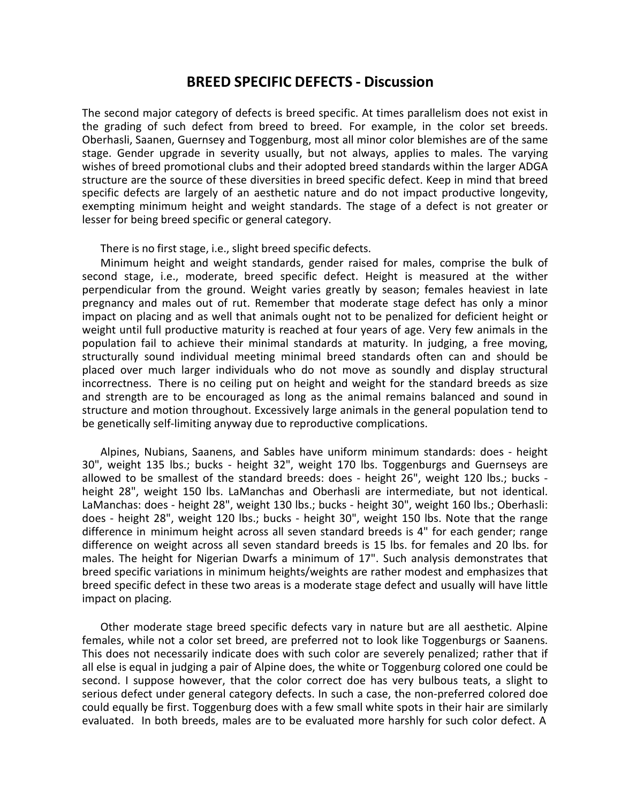## **BREED SPECIFIC DEFECTS - Discussion**

The second major category of defects is breed specific. At times parallelism does not exist in the grading of such defect from breed to breed. For example, in the color set breeds. Oberhasli, Saanen, Guernsey and Toggenburg, most all minor color blemishes are of the same stage. Gender upgrade in severity usually, but not always, applies to males. The varying wishes of breed promotional clubs and their adopted breed standards within the larger ADGA structure are the source of these diversities in breed specific defect. Keep in mind that breed specific defects are largely of an aesthetic nature and do not impact productive longevity, exempting minimum height and weight standards. The stage of a defect is not greater or lesser for being breed specific or general category.

There is no first stage, i.e., slight breed specific defects.

Minimum height and weight standards, gender raised for males, comprise the bulk of second stage, i.e., moderate, breed specific defect. Height is measured at the wither perpendicular from the ground. Weight varies greatly by season; females heaviest in late pregnancy and males out of rut. Remember that moderate stage defect has only a minor impact on placing and as well that animals ought not to be penalized for deficient height or weight until full productive maturity is reached at four years of age. Very few animals in the population fail to achieve their minimal standards at maturity. In judging, a free moving, structurally sound individual meeting minimal breed standards often can and should be placed over much larger individuals who do not move as soundly and display structural incorrectness. There is no ceiling put on height and weight for the standard breeds as size and strength are to be encouraged as long as the animal remains balanced and sound in structure and motion throughout. Excessively large animals in the general population tend to be genetically self-limiting anyway due to reproductive complications.

Alpines, Nubians, Saanens, and Sables have uniform minimum standards: does - height 30", weight 135 lbs.; bucks - height 32", weight 170 lbs. Toggenburgs and Guernseys are allowed to be smallest of the standard breeds: does - height 26", weight 120 lbs.; bucks height 28", weight 150 lbs. LaManchas and Oberhasli are intermediate, but not identical. LaManchas: does - height 28", weight 130 lbs.; bucks - height 30", weight 160 lbs.; Oberhasli: does - height 28", weight 120 lbs.; bucks - height 30", weight 150 lbs. Note that the range difference in minimum height across all seven standard breeds is 4" for each gender; range difference on weight across all seven standard breeds is 15 lbs. for females and 20 lbs. for males. The height for Nigerian Dwarfs a minimum of 17". Such analysis demonstrates that breed specific variations in minimum heights/weights are rather modest and emphasizes that breed specific defect in these two areas is a moderate stage defect and usually will have little impact on placing.

Other moderate stage breed specific defects vary in nature but are all aesthetic. Alpine females, while not a color set breed, are preferred not to look like Toggenburgs or Saanens. This does not necessarily indicate does with such color are severely penalized; rather that if all else is equal in judging a pair of Alpine does, the white or Toggenburg colored one could be second. I suppose however, that the color correct doe has very bulbous teats, a slight to serious defect under general category defects. In such a case, the non-preferred colored doe could equally be first. Toggenburg does with a few small white spots in their hair are similarly evaluated. In both breeds, males are to be evaluated more harshly for such color defect. A